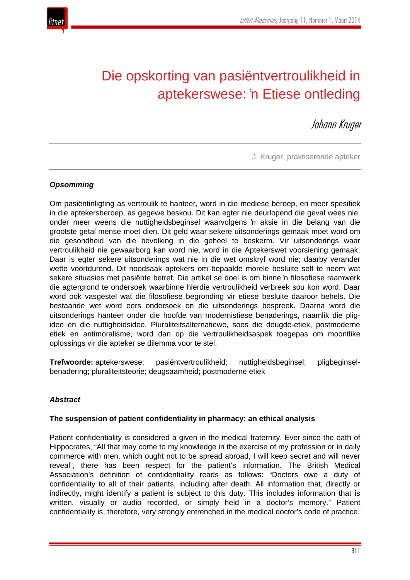

# Die opskorting van pasiëntvertroulikheid in aptekerswese: 'n Etiese ontleding

Johann Kruger

J. Kruger, praktiserende apteker

## *Opsomming*

Om pasiëntinligting as vertroulik te hanteer, word in die mediese beroep, en meer spesifiek in die aptekersberoep, as gegewe beskou. Dit kan egter nie deurlopend die geval wees nie, onder meer weens die nuttigheidsbeginsel waarvolgens 'n aksie in die belang van die grootste getal mense moet dien. Dit geld waar sekere uitsonderings gemaak moet word om die gesondheid van die bevolking in die geheel te beskerm. Vir uitsonderings waar vertroulikheid nie gewaarborg kan word nie, word in die Aptekerswet voorsiening gemaak. Daar is egter sekere uitsonderings wat nie in die wet omskryf word nie; daarby verander wette voortdurend. Dit noodsaak aptekers om bepaalde morele besluite self te neem wat sekere situasies met pasiënte betref. Die artikel se doel is om binne 'n filosofiese raamwerk die agtergrond te ondersoek waarbinne hierdie vertroulikheid verbreek sou kon word. Daar word ook vasgestel wat die filosofiese begronding vir etiese besluite daaroor behels. Die bestaande wet word eers ondersoek en die uitsonderings bespreek. Daarna word die uitsonderings hanteer onder die hoofde van modernistiese benaderings, naamlik die pligidee en die nuttigheidsidee. Pluraliteitsalternatiewe, soos die deugde-etiek, postmoderne etiek en antimoralisme, word dan op die vertroulikheidsaspek toegepas om moontlike oplossings vir die apteker se dilemma voor te stel.

**Trefwoorde:** aptekerswese; pasiëntvertroulikheid; nuttigheidsbeginsel; pligbeginselbenadering; pluraliteitsteorie; deugsaamheid; postmoderne etiek

## *Abstract*

## **The suspension of patient confidentiality in pharmacy: an ethical analysis**

Patient confidentiality is considered a given in the medical fraternity. Ever since the oath of Hippocrates, "All that may come to my knowledge in the exercise of my profession or in daily commerce with men, which ought not to be spread abroad, I will keep secret and will never reveal", there has been respect for the patient's information. The British Medical Association's definition of confidentiality reads as follows: "Doctors owe a duty of confidentiality to all of their patients, including after death. All information that, directly or indirectly, might identify a patient is subject to this duty. This includes information that is written, visually or audio recorded, or simply held in a doctor's memory." Patient confidentiality is, therefore, very strongly entrenched in the medical doctor's code of practice.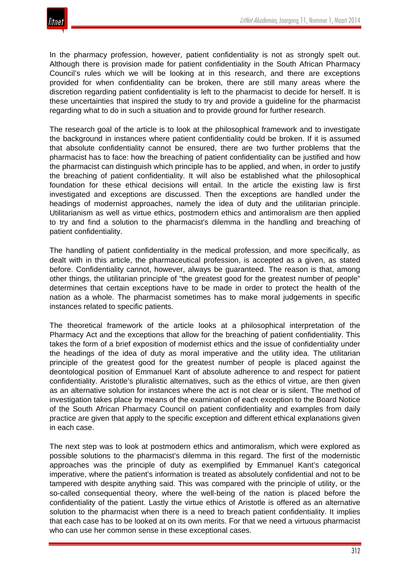

In the pharmacy profession, however, patient confidentiality is not as strongly spelt out. Although there is provision made for patient confidentiality in the South African Pharmacy Council's rules which we will be looking at in this research, and there are exceptions provided for when confidentiality can be broken, there are still many areas where the discretion regarding patient confidentiality is left to the pharmacist to decide for herself. It is these uncertainties that inspired the study to try and provide a guideline for the pharmacist regarding what to do in such a situation and to provide ground for further research.

The research goal of the article is to look at the philosophical framework and to investigate the background in instances where patient confidentiality could be broken. If it is assumed that absolute confidentiality cannot be ensured, there are two further problems that the pharmacist has to face: how the breaching of patient confidentiality can be justified and how the pharmacist can distinguish which principle has to be applied, and when, in order to justify the breaching of patient confidentiality. It will also be established what the philosophical foundation for these ethical decisions will entail. In the article the existing law is first investigated and exceptions are discussed. Then the exceptions are handled under the headings of modernist approaches, namely the idea of duty and the utilitarian principle. Utilitarianism as well as virtue ethics, postmodern ethics and antimoralism are then applied to try and find a solution to the pharmacist's dilemma in the handling and breaching of patient confidentiality.

The handling of patient confidentiality in the medical profession, and more specifically, as dealt with in this article, the pharmaceutical profession, is accepted as a given, as stated before. Confidentiality cannot, however, always be guaranteed. The reason is that, among other things, the utilitarian principle of "the greatest good for the greatest number of people" determines that certain exceptions have to be made in order to protect the health of the nation as a whole. The pharmacist sometimes has to make moral judgements in specific instances related to specific patients.

The theoretical framework of the article looks at a philosophical interpretation of the Pharmacy Act and the exceptions that allow for the breaching of patient confidentiality. This takes the form of a brief exposition of modernist ethics and the issue of confidentiality under the headings of the idea of duty as moral imperative and the utility idea. The utilitarian principle of the greatest good for the greatest number of people is placed against the deontological position of Emmanuel Kant of absolute adherence to and respect for patient confidentiality. Aristotle's pluralistic alternatives, such as the ethics of virtue, are then given as an alternative solution for instances where the act is not clear or is silent. The method of investigation takes place by means of the examination of each exception to the Board Notice of the South African Pharmacy Council on patient confidentiality and examples from daily practice are given that apply to the specific exception and different ethical explanations given in each case.

The next step was to look at postmodern ethics and antimoralism, which were explored as possible solutions to the pharmacist's dilemma in this regard. The first of the modernistic approaches was the principle of duty as exemplified by Emmanuel Kant's categorical imperative, where the patient's information is treated as absolutely confidential and not to be tampered with despite anything said. This was compared with the principle of utility, or the so-called consequential theory, where the well-being of the nation is placed before the confidentiality of the patient. Lastly the virtue ethics of Aristotle is offered as an alternative solution to the pharmacist when there is a need to breach patient confidentiality. It implies that each case has to be looked at on its own merits. For that we need a virtuous pharmacist who can use her common sense in these exceptional cases.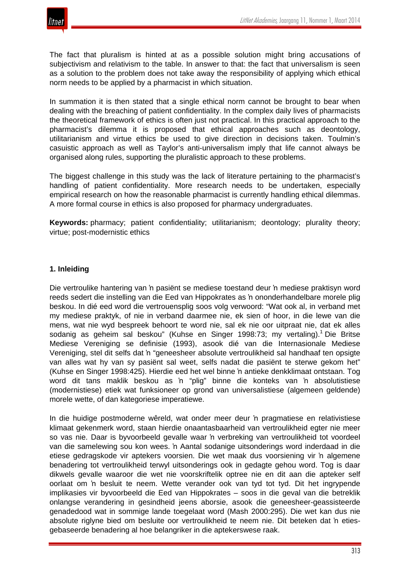

The fact that pluralism is hinted at as a possible solution might bring accusations of subjectivism and relativism to the table. In answer to that: the fact that universalism is seen as a solution to the problem does not take away the responsibility of applying which ethical norm needs to be applied by a pharmacist in which situation.

In summation it is then stated that a single ethical norm cannot be brought to bear when dealing with the breaching of patient confidentiality. In the complex daily lives of pharmacists the theoretical framework of ethics is often just not practical. In this practical approach to the pharmacist's dilemma it is proposed that ethical approaches such as deontology, utilitarianism and virtue ethics be used to give direction in decisions taken. Toulmin's casuistic approach as well as Taylor's anti-universalism imply that life cannot always be organised along rules, supporting the pluralistic approach to these problems.

The biggest challenge in this study was the lack of literature pertaining to the pharmacist's handling of patient confidentiality. More research needs to be undertaken, especially empirical research on how the reasonable pharmacist is currently handling ethical dilemmas. A more formal course in ethics is also proposed for pharmacy undergraduates.

**Keywords:** pharmacy; patient confidentiality; utilitarianism; deontology; plurality theory; virtue; post-modernistic ethics

## **1. Inleiding**

Die vertroulike hantering van 'n pasiënt se mediese toestand deur 'n mediese praktisyn word reeds sedert die instelling van die Eed van Hippokrates as 'n ononderhandelbare morele plig beskou. In dié eed word die vertrouensplig soos volg verwoord: "Wat ook al, in verband met my mediese praktyk, of nie in verband daarmee nie, ek sien of hoor, in die lewe van die mens, wat nie wyd bespreek behoort te word nie, sal ek nie oor uitpraat nie, dat ek alles sodanig as geheim sal beskou" (Kuhse en Singer 1998:73; my vertaling).<sup>1</sup> Die Britse Mediese Vereniging se definisie (1993), asook dié van die Internasionale Mediese Vereniging, stel dit selfs dat 'n "geneesheer absolute vertroulikheid sal handhaaf ten opsigte van alles wat hy van sy pasiënt sal weet, selfs nadat die pasiënt te sterwe gekom het" (Kuhse en Singer 1998:425). Hierdie eed het wel binne 'n antieke denkklimaat ontstaan. Tog word dit tans maklik beskou as 'n "plig" binne die konteks van 'n absolutistiese (modernistiese) etiek wat funksioneer op grond van universalistiese (algemeen geldende) morele wette, of dan kategoriese imperatiewe.

In die huidige postmoderne wêreld, wat onder meer deur 'n pragmatiese en relativistiese klimaat gekenmerk word, staan hierdie onaantasbaarheid van vertroulikheid egter nie meer so vas nie. Daar is byvoorbeeld gevalle waar 'n verbreking van vertroulikheid tot voordeel van die samelewing sou kon wees. 'n Aantal sodanige uitsonderings word inderdaad in die etiese gedragskode vir aptekers voorsien. Die wet maak dus voorsiening vir 'n algemene benadering tot vertroulikheid terwyl uitsonderings ook in gedagte gehou word. Tog is daar dikwels gevalle waaroor die wet nie voorskriftelik optree nie en dit aan die apteker self oorlaat om 'n besluit te neem. Wette verander ook van tyd tot tyd. Dit het ingrypende implikasies vir byvoorbeeld die Eed van Hippokrates – soos in die geval van die betreklik onlangse verandering in gesindheid jeens aborsie, asook die geneesheer-geassisteerde genadedood wat in sommige lande toegelaat word (Mash 2000:295). Die wet kan dus nie absolute riglyne bied om besluite oor vertroulikheid te neem nie. Dit beteken dat 'n etiesgebaseerde benadering al hoe belangriker in die aptekerswese raak.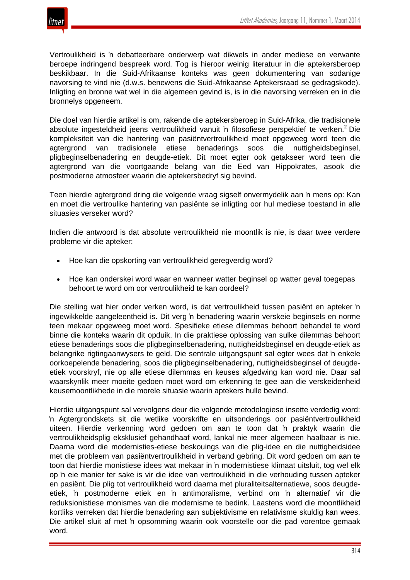

Vertroulikheid is 'n debatteerbare onderwerp wat dikwels in ander mediese en verwante beroepe indringend bespreek word. Tog is hieroor weinig literatuur in die aptekersberoep beskikbaar. In die Suid-Afrikaanse konteks was geen dokumentering van sodanige navorsing te vind nie (d.w.s. benewens die Suid-Afrikaanse Aptekersraad se gedragskode). Inligting en bronne wat wel in die algemeen gevind is, is in die navorsing verreken en in die bronnelys opgeneem.

Die doel van hierdie artikel is om, rakende die aptekersberoep in Suid-Afrika, die tradisionele absolute ingesteldheid jeens vertroulikheid vanuit 'n filosofiese perspektief te verken.<sup>2</sup> Die kompleksiteit van die hantering van pasiëntvertroulikheid moet opgeweeg word teen die agtergrond van tradisionele etiese benaderings soos die nuttigheidsbeginsel, pligbeginselbenadering en deugde-etiek. Dit moet egter ook getakseer word teen die agtergrond van die voortgaande belang van die Eed van Hippokrates, asook die postmoderne atmosfeer waarin die aptekersbedryf sig bevind.

Teen hierdie agtergrond dring die volgende vraag sigself onvermydelik aan 'n mens op: Kan en moet die vertroulike hantering van pasiënte se inligting oor hul mediese toestand in alle situasies verseker word?

Indien die antwoord is dat absolute vertroulikheid nie moontlik is nie, is daar twee verdere probleme vir die apteker:

- Hoe kan die opskorting van vertroulikheid geregverdig word?
- Hoe kan onderskei word waar en wanneer watter beginsel op watter geval toegepas behoort te word om oor vertroulikheid te kan oordeel?

Die stelling wat hier onder verken word, is dat vertroulikheid tussen pasiënt en apteker 'n ingewikkelde aangeleentheid is. Dit verg 'n benadering waarin verskeie beginsels en norme teen mekaar opgeweeg moet word. Spesifieke etiese dilemmas behoort behandel te word binne die konteks waarin dit opduik. In die praktiese oplossing van sulke dilemmas behoort etiese benaderings soos die pligbeginselbenadering, nuttigheidsbeginsel en deugde-etiek as belangrike rigtingaanwysers te geld. Die sentrale uitgangspunt sal egter wees dat 'n enkele oorkoepelende benadering, soos die pligbeginselbenadering, nuttigheidsbeginsel of deugdeetiek voorskryf, nie op alle etiese dilemmas en keuses afgedwing kan word nie. Daar sal waarskynlik meer moeite gedoen moet word om erkenning te gee aan die verskeidenheid keusemoontlikhede in die morele situasie waarin aptekers hulle bevind.

Hierdie uitgangspunt sal vervolgens deur die volgende metodologiese insette verdedig word: 'n Agtergrondskets sit die wetlike voorskrifte en uitsonderings oor pasiëntvertroulikheid uiteen. Hierdie verkenning word gedoen om aan te toon dat 'n praktyk waarin die vertroulikheidsplig eksklusief gehandhaaf word, lankal nie meer algemeen haalbaar is nie. Daarna word die modernisties-etiese beskouings van die plig-idee en die nuttigheidsidee met die probleem van pasiëntvertroulikheid in verband gebring. Dit word gedoen om aan te toon dat hierdie monistiese idees wat mekaar in 'n modernistiese klimaat uitsluit, tog wel elk op 'n eie manier ter sake is vir die idee van vertroulikheid in die verhouding tussen apteker en pasiënt. Die plig tot vertroulikheid word daarna met pluraliteitsalternatiewe, soos deugdeetiek, 'n postmoderne etiek en 'n antimoralisme, verbind om 'n alternatief vir die reduksionistiese monismes van die modernisme te bedink. Laastens word die moontlikheid kortliks verreken dat hierdie benadering aan subjektivisme en relativisme skuldig kan wees. Die artikel sluit af met 'n opsomming waarin ook voorstelle oor die pad vorentoe gemaak word.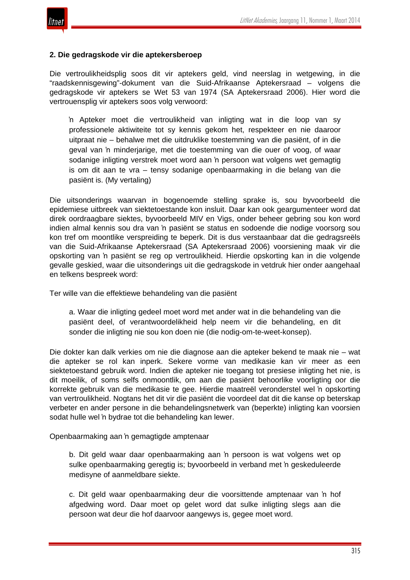

#### **2. Die gedragskode vir die aptekersberoep**

Die vertroulikheidsplig soos dit vir aptekers geld, vind neerslag in wetgewing, in die "raadskennisgewing"-dokument van die Suid-Afrikaanse Aptekersraad – volgens die gedragskode vir aptekers se Wet 53 van 1974 (SA Aptekersraad 2006). Hier word die vertrouensplig vir aptekers soos volg verwoord:

'n Apteker moet die vertroulikheid van inligting wat in die loop van sy professionele aktiwiteite tot sy kennis gekom het, respekteer en nie daaroor uitpraat nie – behalwe met die uitdruklike toestemming van die pasiënt, of in die geval van 'n minderjarige, met die toestemming van die ouer of voog, of waar sodanige inligting verstrek moet word aan 'n persoon wat volgens wet gemagtig is om dit aan te vra – tensy sodanige openbaarmaking in die belang van die pasiënt is. (My vertaling)

Die uitsonderings waarvan in bogenoemde stelling sprake is, sou byvoorbeeld die epidemiese uitbreek van siektetoestande kon insluit. Daar kan ook geargumenteer word dat direk oordraagbare siektes, byvoorbeeld MIV en Vigs, onder beheer gebring sou kon word indien almal kennis sou dra van 'n pasiënt se status en sodoende die nodige voorsorg sou kon tref om moontlike verspreiding te beperk. Dit is dus verstaanbaar dat die gedragsreëls van die Suid-Afrikaanse Aptekersraad (SA Aptekersraad 2006) voorsiening maak vir die opskorting van 'n pasiënt se reg op vertroulikheid. Hierdie opskorting kan in die volgende gevalle geskied, waar die uitsonderings uit die gedragskode in vetdruk hier onder aangehaal en telkens bespreek word:

Ter wille van die effektiewe behandeling van die pasiënt

a. Waar die inligting gedeel moet word met ander wat in die behandeling van die pasiënt deel, of verantwoordelikheid help neem vir die behandeling, en dit sonder die inligting nie sou kon doen nie (die nodig-om-te-weet-konsep).

Die dokter kan dalk verkies om nie die diagnose aan die apteker bekend te maak nie – wat die apteker se rol kan inperk. Sekere vorme van medikasie kan vir meer as een siektetoestand gebruik word. Indien die apteker nie toegang tot presiese inligting het nie, is dit moeilik, of soms selfs onmoontlik, om aan die pasiënt behoorlike voorligting oor die korrekte gebruik van die medikasie te gee. Hierdie maatreël veronderstel wel 'n opskorting van vertroulikheid. Nogtans het dit vir die pasiënt die voordeel dat dit die kanse op beterskap verbeter en ander persone in die behandelingsnetwerk van (beperkte) inligting kan voorsien sodat hulle wel 'n bydrae tot die behandeling kan lewer.

Openbaarmaking aan 'n gemagtigde amptenaar

b. Dit geld waar daar openbaarmaking aan 'n persoon is wat volgens wet op sulke openbaarmaking geregtig is; byvoorbeeld in verband met 'n geskeduleerde medisyne of aanmeldbare siekte.

c. Dit geld waar openbaarmaking deur die voorsittende amptenaar van 'n hof afgedwing word. Daar moet op gelet word dat sulke inligting slegs aan die persoon wat deur die hof daarvoor aangewys is, gegee moet word.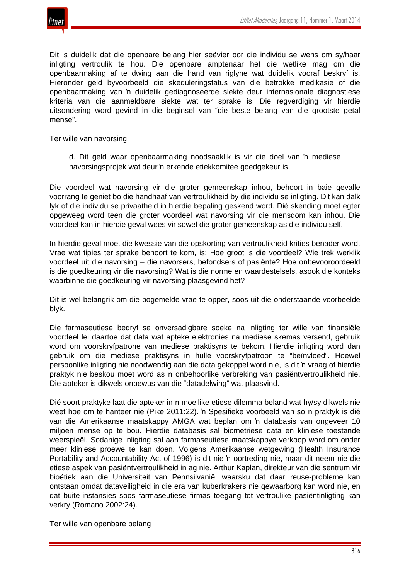

Dit is duidelik dat die openbare belang hier seëvier oor die individu se wens om sy/haar inligting vertroulik te hou. Die openbare amptenaar het die wetlike mag om die openbaarmaking af te dwing aan die hand van riglyne wat duidelik vooraf beskryf is. Hieronder geld byvoorbeeld die skeduleringstatus van die betrokke medikasie of die openbaarmaking van 'n duidelik gediagnoseerde siekte deur internasionale diagnostiese kriteria van die aanmeldbare siekte wat ter sprake is. Die regverdiging vir hierdie uitsondering word gevind in die beginsel van "die beste belang van die grootste getal mense".

Ter wille van navorsing

d. Dit geld waar openbaarmaking noodsaaklik is vir die doel van 'n mediese navorsingsprojek wat deur 'n erkende etiekkomitee goedgekeur is.

Die voordeel wat navorsing vir die groter gemeenskap inhou, behoort in baie gevalle voorrang te geniet bo die handhaaf van vertroulikheid by die individu se inligting. Dit kan dalk lyk of die individu se privaatheid in hierdie bepaling geskend word. Dié skending moet egter opgeweeg word teen die groter voordeel wat navorsing vir die mensdom kan inhou. Die voordeel kan in hierdie geval wees vir sowel die groter gemeenskap as die individu self.

In hierdie geval moet die kwessie van die opskorting van vertroulikheid krities benader word. Vrae wat tipies ter sprake behoort te kom, is: Hoe groot is die voordeel? Wie trek werklik voordeel uit die navorsing – die navorsers, befondsers of pasiënte? Hoe onbevooroordeeld is die goedkeuring vir die navorsing? Wat is die norme en waardestelsels, asook die konteks waarbinne die goedkeuring vir navorsing plaasgevind het?

Dit is wel belangrik om die bogemelde vrae te opper, soos uit die onderstaande voorbeelde blyk.

Die farmaseutiese bedryf se onversadigbare soeke na inligting ter wille van finansiële voordeel lei daartoe dat data wat apteke elektronies na mediese skemas versend, gebruik word om voorskryfpatrone van mediese praktisyns te bekom. Hierdie inligting word dan gebruik om die mediese praktisyns in hulle voorskryfpatroon te "beïnvloed". Hoewel persoonlike inligting nie noodwendig aan die data gekoppel word nie, is dit 'n vraag of hierdie praktyk nie beskou moet word as 'n onbehoorlike verbreking van pasiëntvertroulikheid nie. Die apteker is dikwels onbewus van die "datadelwing" wat plaasvind.

Dié soort praktyke laat die apteker in 'n moeilike etiese dilemma beland wat hy/sy dikwels nie weet hoe om te hanteer nie (Pike 2011:22). 'n Spesifieke voorbeeld van so 'n praktyk is dié van die Amerikaanse maatskappy AMGA wat beplan om 'n databasis van ongeveer 10 miljoen mense op te bou. Hierdie databasis sal biometriese data en kliniese toestande weerspieël. Sodanige inligting sal aan farmaseutiese maatskappye verkoop word om onder meer kliniese proewe te kan doen. Volgens Amerikaanse wetgewing (Health Insurance Portability and Accountability Act of 1996) is dit nie 'n oortreding nie, maar dit neem nie die etiese aspek van pasiëntvertroulikheid in ag nie. Arthur Kaplan, direkteur van die sentrum vir bioëtiek aan die Universiteit van Pennsilvanië, waarsku dat daar reuse-probleme kan ontstaan omdat dataveiligheid in die era van kuberkrakers nie gewaarborg kan word nie, en dat buite-instansies soos farmaseutiese firmas toegang tot vertroulike pasiëntinligting kan verkry (Romano 2002:24).

Ter wille van openbare belang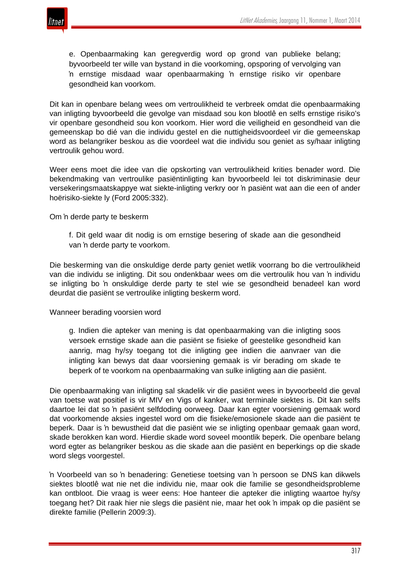

e. Openbaarmaking kan geregverdig word op grond van publieke belang; byvoorbeeld ter wille van bystand in die voorkoming, opsporing of vervolging van 'n ernstige misdaad waar openbaarmaking 'n ernstige risiko vir openbare gesondheid kan voorkom.

Dit kan in openbare belang wees om vertroulikheid te verbreek omdat die openbaarmaking van inligting byvoorbeeld die gevolge van misdaad sou kon blootlê en selfs ernstige risiko's vir openbare gesondheid sou kon voorkom. Hier word die veiligheid en gesondheid van die gemeenskap bo dié van die individu gestel en die nuttigheidsvoordeel vir die gemeenskap word as belangriker beskou as die voordeel wat die individu sou geniet as sy/haar inligting vertroulik gehou word.

Weer eens moet die idee van die opskorting van vertroulikheid krities benader word. Die bekendmaking van vertroulike pasiëntinligting kan byvoorbeeld lei tot diskriminasie deur versekeringsmaatskappye wat siekte-inligting verkry oor 'n pasiënt wat aan die een of ander hoërisiko-siekte ly (Ford 2005:332).

Om 'n derde party te beskerm

f. Dit geld waar dit nodig is om ernstige besering of skade aan die gesondheid van 'n derde party te voorkom.

Die beskerming van die onskuldige derde party geniet wetlik voorrang bo die vertroulikheid van die individu se inligting. Dit sou ondenkbaar wees om die vertroulik hou van 'n individu se inligting bo 'n onskuldige derde party te stel wie se gesondheid benadeel kan word deurdat die pasiënt se vertroulike inligting beskerm word.

Wanneer berading voorsien word

g. Indien die apteker van mening is dat openbaarmaking van die inligting soos versoek ernstige skade aan die pasiënt se fisieke of geestelike gesondheid kan aanrig, mag hy/sy toegang tot die inligting gee indien die aanvraer van die inligting kan bewys dat daar voorsiening gemaak is vir berading om skade te beperk of te voorkom na openbaarmaking van sulke inligting aan die pasiënt.

Die openbaarmaking van inligting sal skadelik vir die pasiënt wees in byvoorbeeld die geval van toetse wat positief is vir MIV en Vigs of kanker, wat terminale siektes is. Dit kan selfs daartoe lei dat so 'n pasiënt selfdoding oorweeg. Daar kan egter voorsiening gemaak word dat voorkomende aksies ingestel word om die fisieke/emosionele skade aan die pasiënt te beperk. Daar is 'n bewustheid dat die pasiënt wie se inligting openbaar gemaak gaan word, skade berokken kan word. Hierdie skade word soveel moontlik beperk. Die openbare belang word egter as belangriker beskou as die skade aan die pasiënt en beperkings op die skade word slegs voorgestel.

'n Voorbeeld van so 'n benadering: Genetiese toetsing van 'n persoon se DNS kan dikwels siektes blootlê wat nie net die individu nie, maar ook die familie se gesondheidsprobleme kan ontbloot. Die vraag is weer eens: Hoe hanteer die apteker die inligting waartoe hy/sy toegang het? Dit raak hier nie slegs die pasiënt nie, maar het ook 'n impak op die pasiënt se direkte familie (Pellerin 2009:3).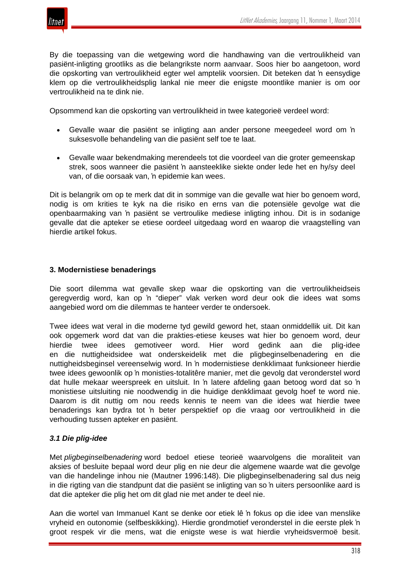

By die toepassing van die wetgewing word die handhawing van die vertroulikheid van pasiënt-inligting grootliks as die belangrikste norm aanvaar. Soos hier bo aangetoon, word die opskorting van vertroulikheid egter wel amptelik voorsien. Dit beteken dat 'n eensydige klem op die vertroulikheidsplig lankal nie meer die enigste moontlike manier is om oor vertroulikheid na te dink nie.

Opsommend kan die opskorting van vertroulikheid in twee kategorieë verdeel word:

- Gevalle waar die pasiënt se inligting aan ander persone meegedeel word om 'n suksesvolle behandeling van die pasiënt self toe te laat.
- Gevalle waar bekendmaking merendeels tot die voordeel van die groter gemeenskap strek, soos wanneer die pasiënt 'n aansteeklike siekte onder lede het en hy/sy deel van, of die oorsaak van, 'n epidemie kan wees.

Dit is belangrik om op te merk dat dit in sommige van die gevalle wat hier bo genoem word, nodig is om krities te kyk na die risiko en erns van die potensiële gevolge wat die openbaarmaking van 'n pasiënt se vertroulike mediese inligting inhou. Dit is in sodanige gevalle dat die apteker se etiese oordeel uitgedaag word en waarop die vraagstelling van hierdie artikel fokus.

#### **3. Modernistiese benaderings**

Die soort dilemma wat gevalle skep waar die opskorting van die vertroulikheidseis geregverdig word, kan op 'n "dieper" vlak verken word deur ook die idees wat soms aangebied word om die dilemmas te hanteer verder te ondersoek.

Twee idees wat veral in die moderne tyd gewild geword het, staan onmiddellik uit. Dit kan ook opgemerk word dat van die prakties-etiese keuses wat hier bo genoem word, deur hierdie twee idees gemotiveer word. Hier word gedink aan die plig-idee en die nuttigheidsidee wat onderskeidelik met die pligbeginselbenadering en die nuttigheidsbeginsel vereenselwig word. In 'n modernistiese denkklimaat funksioneer hierdie twee idees gewoonlik op 'n monisties-totalitêre manier, met die gevolg dat veronderstel word dat hulle mekaar weerspreek en uitsluit. In 'n latere afdeling gaan betoog word dat so 'n monistiese uitsluiting nie noodwendig in die huidige denkklimaat gevolg hoef te word nie. Daarom is dit nuttig om nou reeds kennis te neem van die idees wat hierdie twee benaderings kan bydra tot 'n beter perspektief op die vraag oor vertroulikheid in die verhouding tussen apteker en pasiënt.

## *3.1 Die plig-idee*

Met *pligbeginselbenadering* word bedoel etiese teorieë waarvolgens die moraliteit van aksies of besluite bepaal word deur plig en nie deur die algemene waarde wat die gevolge van die handelinge inhou nie (Mautner 1996:148). Die pligbeginselbenadering sal dus neig in die rigting van die standpunt dat die pasiënt se inligting van so 'n uiters persoonlike aard is dat die apteker die plig het om dit glad nie met ander te deel nie.

Aan die wortel van Immanuel Kant se denke oor etiek lê 'n fokus op die idee van menslike vryheid en outonomie (selfbeskikking). Hierdie grondmotief veronderstel in die eerste plek 'n groot respek vir die mens, wat die enigste wese is wat hierdie vryheidsvermoë besit.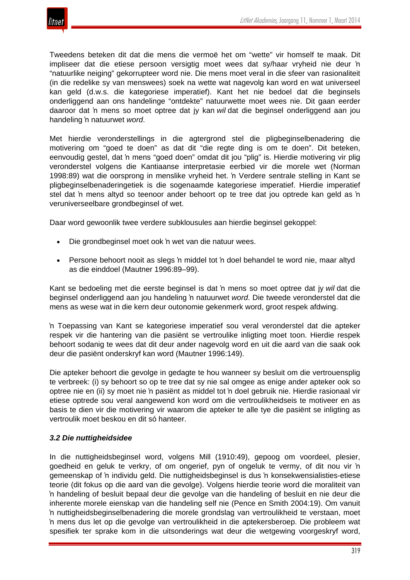Tweedens beteken dit dat die mens die vermoë het om "wette" vir homself te maak. Dit impliseer dat die etiese persoon versigtig moet wees dat sy/haar vryheid nie deur 'n "natuurlike neiging" gekorrupteer word nie. Die mens moet veral in die sfeer van rasionaliteit (in die redelike sy van menswees) soek na wette wat nagevolg kan word en wat universeel kan geld (d.w.s. die kategoriese imperatief). Kant het nie bedoel dat die beginsels onderliggend aan ons handelinge "ontdekte" natuurwette moet wees nie. Dit gaan eerder daaroor dat 'n mens so moet optree dat jy kan *wil* dat die beginsel onderliggend aan jou handeling 'n natuurwet *word*.

Met hierdie veronderstellings in die agtergrond stel die pligbeginselbenadering die motivering om "goed te doen" as dat dit "die regte ding is om te doen". Dit beteken, eenvoudig gestel, dat 'n mens "goed doen" omdat dit jou "plig" is. Hierdie motivering vir plig veronderstel volgens die Kantiaanse interpretasie eerbied vir die morele wet (Norman 1998:89) wat die oorsprong in menslike vryheid het. 'n Verdere sentrale stelling in Kant se pligbeginselbenaderingetiek is die sogenaamde kategoriese imperatief. Hierdie imperatief stel dat 'n mens altyd so teenoor ander behoort op te tree dat jou optrede kan geld as 'n veruniverseelbare grondbeginsel of wet.

Daar word gewoonlik twee verdere subklousules aan hierdie beginsel gekoppel:

- Die grondbeginsel moet ook 'n wet van die natuur wees.
- Persone behoort nooit as slegs 'n middel tot 'n doel behandel te word nie, maar altyd as die einddoel (Mautner 1996:89–99).

Kant se bedoeling met die eerste beginsel is dat 'n mens so moet optree dat jy *wil* dat die beginsel onderliggend aan jou handeling 'n natuurwet *word*. Die tweede veronderstel dat die mens as wese wat in die kern deur outonomie gekenmerk word, groot respek afdwing.

'n Toepassing van Kant se kategoriese imperatief sou veral veronderstel dat die apteker respek vir die hantering van die pasiënt se vertroulike inligting moet toon. Hierdie respek behoort sodanig te wees dat dit deur ander nagevolg word en uit die aard van die saak ook deur die pasiënt onderskryf kan word (Mautner 1996:149).

Die apteker behoort die gevolge in gedagte te hou wanneer sy besluit om die vertrouensplig te verbreek: (i) sy behoort so op te tree dat sy nie sal omgee as enige ander apteker ook so optree nie en (ii) sy moet nie 'n pasiënt as middel tot 'n doel gebruik nie. Hierdie rasionaal vir etiese optrede sou veral aangewend kon word om die vertroulikheidseis te motiveer en as basis te dien vir die motivering vir waarom die apteker te alle tye die pasiënt se inligting as vertroulik moet beskou en dit só hanteer.

## *3.2 Die nuttigheidsidee*

In die nuttigheidsbeginsel word, volgens Mill (1910:49), gepoog om voordeel, plesier, goedheid en geluk te verkry, of om ongerief, pyn of ongeluk te vermy, of dit nou vir 'n gemeenskap of 'n individu geld. Die nuttigheidsbeginsel is dus 'n konsekwensialisties-etiese teorie (dit fokus op die aard van die gevolge). Volgens hierdie teorie word die moraliteit van 'n handeling of besluit bepaal deur die gevolge van die handeling of besluit en nie deur die inherente morele eienskap van die handeling self nie (Pence en Smith 2004:19). Om vanuit 'n nuttigheidsbeginselbenadering die morele grondslag van vertroulikheid te verstaan, moet 'n mens dus let op die gevolge van vertroulikheid in die aptekersberoep. Die probleem wat spesifiek ter sprake kom in die uitsonderings wat deur die wetgewing voorgeskryf word,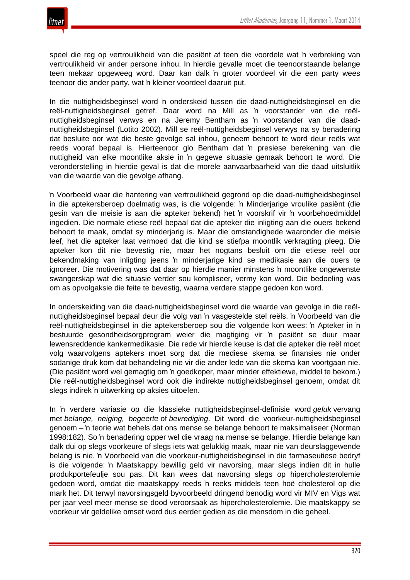

speel die reg op vertroulikheid van die pasiënt af teen die voordele wat 'n verbreking van vertroulikheid vir ander persone inhou. In hierdie gevalle moet die teenoorstaande belange teen mekaar opgeweeg word. Daar kan dalk 'n groter voordeel vir die een party wees teenoor die ander party, wat 'n kleiner voordeel daaruit put.

In die nuttigheidsbeginsel word 'n onderskeid tussen die daad-nuttigheidsbeginsel en die reël-nuttigheidsbeginsel getref. Daar word na Mill as 'n voorstander van die reëlnuttigheidsbeginsel verwys en na Jeremy Bentham as 'n voorstander van die daadnuttigheidsbeginsel (Lotito 2002). Mill se reël-nuttigheidsbeginsel verwys na sy benadering dat besluite oor wat die beste gevolge sal inhou, geneem behoort te word deur reëls wat reeds vooraf bepaal is. Hierteenoor glo Bentham dat 'n presiese berekening van die nuttigheid van elke moontlike aksie in 'n gegewe situasie gemaak behoort te word. Die veronderstelling in hierdie geval is dat die morele aanvaarbaarheid van die daad uitsluitlik van die waarde van die gevolge afhang.

'n Voorbeeld waar die hantering van vertroulikheid gegrond op die daad-nuttigheidsbeginsel in die aptekersberoep doelmatig was, is die volgende: 'n Minderjarige vroulike pasiënt (die gesin van die meisie is aan die apteker bekend) het 'n voorskrif vir 'n voorbehoedmiddel ingedien. Die normale etiese reël bepaal dat die apteker die inligting aan die ouers bekend behoort te maak, omdat sy minderjarig is. Maar die omstandighede waaronder die meisie leef, het die apteker laat vermoed dat die kind se stiefpa moontlik verkragting pleeg. Die apteker kon dit nie bevestig nie, maar het nogtans besluit om die etiese reël oor bekendmaking van inligting jeens 'n minderjarige kind se medikasie aan die ouers te ignoreer. Die motivering was dat daar op hierdie manier minstens 'n moontlike ongewenste swangerskap wat die situasie verder sou kompliseer, vermy kon word. Die bedoeling was om as opvolgaksie die feite te bevestig, waarna verdere stappe gedoen kon word.

In onderskeiding van die daad-nuttigheidsbeginsel word die waarde van gevolge in die reëlnuttigheidsbeginsel bepaal deur die volg van 'n vasgestelde stel reëls. 'n Voorbeeld van die reël-nuttigheidsbeginsel in die aptekersberoep sou die volgende kon wees: 'n Apteker in 'n bestuurde gesondheidsorgprogram weier die magtiging vir 'n pasiënt se duur maar lewensreddende kankermedikasie. Die rede vir hierdie keuse is dat die apteker die reël moet volg waarvolgens aptekers moet sorg dat die mediese skema se finansies nie onder sodanige druk kom dat behandeling nie vir die ander lede van die skema kan voortgaan nie. (Die pasiënt word wel gemagtig om 'n goedkoper, maar minder effektiewe, middel te bekom.) Die reël-nuttigheidsbeginsel word ook die indirekte nuttigheidsbeginsel genoem, omdat dit slegs indirek 'n uitwerking op aksies uitoefen.

In 'n verdere variasie op die klassieke nuttigheidsbeginsel-definisie word *geluk* vervang met *belange, neiging, begeerte* of *bevrediging*. Dit word die voorkeur-nuttigheidsbeginsel genoem – 'n teorie wat behels dat ons mense se belange behoort te maksimaliseer (Norman 1998:182). So 'n benadering opper wel die vraag na mense se belange. Hierdie belange kan dalk dui op slegs voorkeure of slegs iets wat gelukkig maak, maar nie van deurslaggewende belang is nie. 'n Voorbeeld van die voorkeur-nuttigheidsbeginsel in die farmaseutiese bedryf is die volgende: 'n Maatskappy bewillig geld vir navorsing, maar slegs indien dit in hulle produkportefeulje sou pas. Dit kan wees dat navorsing slegs op hipercholesterolemie gedoen word, omdat die maatskappy reeds 'n reeks middels teen hoë cholesterol op die mark het. Dit terwyl navorsingsgeld byvoorbeeld dringend benodig word vir MIV en Vigs wat per jaar veel meer mense se dood veroorsaak as hipercholesterolemie. Die maatskappy se voorkeur vir geldelike omset word dus eerder gedien as die mensdom in die geheel.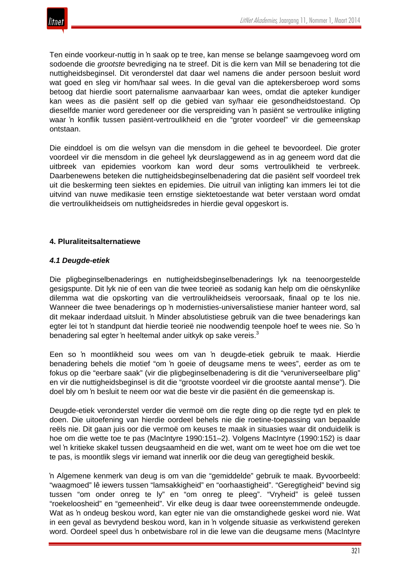

Ten einde voorkeur-nuttig in 'n saak op te tree, kan mense se belange saamgevoeg word om sodoende die *grootste* bevrediging na te streef. Dit is die kern van Mill se benadering tot die nuttigheidsbeginsel. Dit veronderstel dat daar wel namens die ander persoon besluit word wat goed en sleg vir hom/haar sal wees. In die geval van die aptekersberoep word soms betoog dat hierdie soort paternalisme aanvaarbaar kan wees, omdat die apteker kundiger kan wees as die pasiënt self op die gebied van sy/haar eie gesondheidstoestand. Op dieselfde manier word geredeneer oor die verspreiding van 'n pasiënt se vertroulike inligting waar 'n konflik tussen pasiënt-vertroulikheid en die "groter voordeel" vir die gemeenskap ontstaan.

Die einddoel is om die welsyn van die mensdom in die geheel te bevoordeel. Die groter voordeel vir die mensdom in die geheel lyk deurslaggewend as in ag geneem word dat die uitbreek van epidemies voorkom kan word deur soms vertroulikheid te verbreek. Daarbenewens beteken die nuttigheidsbeginselbenadering dat die pasiënt self voordeel trek uit die beskerming teen siektes en epidemies. Die uitruil van inligting kan immers lei tot die uitvind van nuwe medikasie teen ernstige siektetoestande wat beter verstaan word omdat die vertroulikheidseis om nuttigheidsredes in hierdie geval opgeskort is.

#### **4. Pluraliteitsalternatiewe**

#### *4.1 Deugde-etiek*

Die pligbeginselbenaderings en nuttigheidsbeginselbenaderings lyk na teenoorgestelde gesigspunte. Dit lyk nie of een van die twee teorieë as sodanig kan help om die oënskynlike dilemma wat die opskorting van die vertroulikheidseis veroorsaak, finaal op te los nie. Wanneer die twee benaderings op 'n modernisties-universalistiese manier hanteer word, sal dit mekaar inderdaad uitsluit. 'n Minder absolutistiese gebruik van die twee benaderings kan egter lei tot 'n standpunt dat hierdie teorieë nie noodwendig teenpole hoef te wees nie. So 'n benadering sal egter 'n heeltemal ander uitkyk op sake vereis.<sup>3</sup>

Een so 'n moontlikheid sou wees om van 'n deugde-etiek gebruik te maak. Hierdie benadering behels die motief "om 'n goeie of deugsame mens te wees", eerder as om te fokus op die "eerbare saak" (vir die pligbeginselbenadering is dit die "veruniverseelbare plig" en vir die nuttigheidsbeginsel is dit die "grootste voordeel vir die grootste aantal mense"). Die doel bly om 'n besluit te neem oor wat die beste vir die pasiënt én die gemeenskap is.

Deugde-etiek veronderstel verder die vermoë om die regte ding op die regte tyd en plek te doen. Die uitoefening van hierdie oordeel behels nie die roetine-toepassing van bepaalde reëls nie. Dit gaan juis oor die vermoë om keuses te maak in situasies waar dit onduidelik is hoe om die wette toe te pas (MacIntyre 1990:151–2). Volgens MacIntyre (1990:152) is daar wel 'n kritieke skakel tussen deugsaamheid en die wet, want om te weet hoe om die wet toe te pas, is moontlik slegs vir iemand wat innerlik oor die deug van geregtigheid beskik.

'n Algemene kenmerk van deug is om van die "gemiddelde" gebruik te maak. Byvoorbeeld: "waagmoed" lê iewers tussen "lamsakkigheid" en "oorhaastigheid". "Geregtigheid" bevind sig tussen "om onder onreg te ly" en "om onreg te pleeg". "Vryheid" is geleë tussen "roekeloosheid" en "gemeenheid". Vir elke deug is daar twee ooreenstemmende ondeugde. Wat as 'n ondeug beskou word, kan egter nie van die omstandighede geskei word nie. Wat in een geval as bevrydend beskou word, kan in 'n volgende situasie as verkwistend gereken word. Oordeel speel dus 'n onbetwisbare rol in die lewe van die deugsame mens (MacIntyre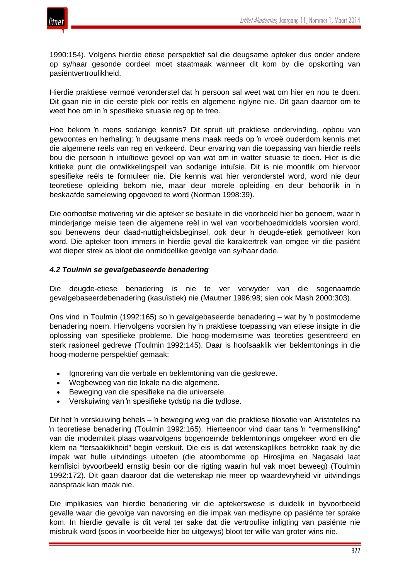

1990:154). Volgens hierdie etiese perspektief sal die deugsame apteker dus onder andere op sy/haar gesonde oordeel moet staatmaak wanneer dit kom by die opskorting van pasiëntvertroulikheid.

Hierdie praktiese vermoë veronderstel dat 'n persoon sal weet wat om hier en nou te doen. Dit gaan nie in die eerste plek oor reëls en algemene riglyne nie. Dit gaan daaroor om te weet hoe om in 'n spesifieke situasie reg op te tree.

Hoe bekom 'n mens sodanige kennis? Dit spruit uit praktiese ondervinding, opbou van gewoontes en herhaling: 'n deugsame mens maak reeds op 'n vroeë ouderdom kennis met die algemene reëls van reg en verkeerd. Deur ervaring van die toepassing van hierdie reëls bou die persoon 'n intuïtiewe gevoel op van wat om in watter situasie te doen. Hier is die kritieke punt die ontwikkelingspeil van sodanige intuïsie. Dit is nie moontlik om hiervoor spesifieke reëls te formuleer nie. Die kennis wat hier veronderstel word, word nie deur teoretiese opleiding bekom nie, maar deur morele opleiding en deur behoorlik in 'n beskaafde samelewing opgevoed te word (Norman 1998:39).

Die oorhoofse motivering vir die apteker se besluite in die voorbeeld hier bo genoem, waar 'n minderjarige meisie teen die algemene reël in wel van voorbehoedmiddels voorsien word, sou benewens deur daad-nuttigheidsbeginsel, ook deur 'n deugde-etiek gemotiveer kon word. Die apteker toon immers in hierdie geval die karaktertrek van omgee vir die pasiënt wat dieper strek as bloot die onmiddellike gevolge van sy/haar dade.

## *4.2 Toulmin se gevalgebaseerde benadering*

Die deugde-etiese benadering is nie te ver verwyder van die sogenaamde gevalgebaseerdebenadering (kasuïstiek) nie (Mautner 1996:98; sien ook Mash 2000:303).

Ons vind in Toulmin (1992:165) so 'n gevalgebaseerde benadering – wat hy 'n postmoderne benadering noem. Hiervolgens voorsien hy 'n praktiese toepassing van etiese insigte in die oplossing van spesifieke probleme. Die hoog-modernisme was teoreties gesentreerd en sterk rasioneel gedrewe (Toulmin 1992:145). Daar is hoofsaaklik vier beklemtonings in die hoog-moderne perspektief gemaak:

- Ignorering van die verbale en beklemtoning van die geskrewe.
- Wegbeweeg van die lokale na die algemene.
- Beweging van die spesifieke na die universele.
- Verskuiwing van 'n spesifieke tydstip na die tydlose.

Dit het 'n verskuiwing behels – 'n beweging weg van die praktiese filosofie van Aristoteles na 'n teoretiese benadering (Toulmin 1992:165). Hierteenoor vind daar tans 'n "vermensliking" van die moderniteit plaas waarvolgens bogenoemde beklemtonings omgekeer word en die klem na "tersaaklikheid" begin verskuif. Die eis is dat wetenskaplikes betrokke raak by die impak wat hulle uitvindings uitoefen (die atoombomme op Hirosjima en Nagasaki laat kernfisici byvoorbeeld ernstig besin oor die rigting waarin hul vak moet beweeg) (Toulmin 1992:172). Dit gaan daaroor dat die wetenskap nie meer op waardevryheid vir uitvindings aanspraak kan maak nie.

Die implikasies van hierdie benadering vir die aptekerswese is duidelik in byvoorbeeld gevalle waar die gevolge van navorsing en die impak van medisyne op pasiënte ter sprake kom. In hierdie gevalle is dit veral ter sake dat die vertroulike inligting van pasiënte nie misbruik word (soos in voorbeelde hier bo uitgewys) bloot ter wille van groter wins nie.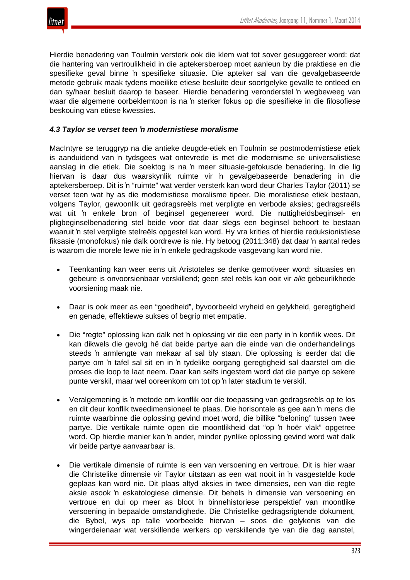

Hierdie benadering van Toulmin versterk ook die klem wat tot sover gesuggereer word: dat die hantering van vertroulikheid in die aptekersberoep moet aanleun by die praktiese en die spesifieke geval binne 'n spesifieke situasie. Die apteker sal van die gevalgebaseerde metode gebruik maak tydens moeilike etiese besluite deur soortgelyke gevalle te ontleed en dan sy/haar besluit daarop te baseer. Hierdie benadering veronderstel 'n wegbeweeg van waar die algemene oorbeklemtoon is na 'n sterker fokus op die spesifieke in die filosofiese beskouing van etiese kwessies.

## *4.3 Taylor se verset teen 'n modernistiese moralisme*

MacIntyre se teruggryp na die antieke deugde-etiek en Toulmin se postmodernistiese etiek is aanduidend van 'n tydsgees wat ontevrede is met die modernisme se universalistiese aanslag in die etiek. Die soektog is na 'n meer situasie-gefokusde benadering. In die lig hiervan is daar dus waarskynlik ruimte vir 'n gevalgebaseerde benadering in die aptekersberoep. Dit is 'n "ruimte" wat verder versterk kan word deur Charles Taylor (2011) se verset teen wat hy as die modernistiese moralisme tipeer. Die moralistiese etiek bestaan, volgens Taylor, gewoonlik uit gedragsreëls met verpligte en verbode aksies; gedragsreëls wat uit 'n enkele bron of beginsel gegenereer word. Die nuttigheidsbeginsel- en pligbeginselbenadering stel beide voor dat daar slegs een beginsel behoort te bestaan waaruit 'n stel verpligte stelreëls opgestel kan word. Hy vra krities of hierdie reduksionistiese fiksasie (monofokus) nie dalk oordrewe is nie. Hy betoog (2011:348) dat daar 'n aantal redes is waarom die morele lewe nie in 'n enkele gedragskode vasgevang kan word nie.

- Teenkanting kan weer eens uit Aristoteles se denke gemotiveer word: situasies en gebeure is onvoorsienbaar verskillend; geen stel reëls kan ooit vir *alle* gebeurlikhede voorsiening maak nie.
- Daar is ook meer as een "goedheid", byvoorbeeld vryheid en gelykheid, geregtigheid en genade, effektiewe sukses of begrip met empatie.
- Die "regte" oplossing kan dalk net 'n oplossing vir die een party in 'n konflik wees. Dit kan dikwels die gevolg hê dat beide partye aan die einde van die onderhandelings steeds 'n armlengte van mekaar af sal bly staan. Die oplossing is eerder dat die partye om 'n tafel sal sit en in 'n tydelike oorgang geregtigheid sal daarstel om die proses die loop te laat neem. Daar kan selfs ingestem word dat die partye op sekere punte verskil, maar wel ooreenkom om tot op 'n later stadium te verskil.
- Veralgemening is 'n metode om konflik oor die toepassing van gedragsreëls op te los en dit deur konflik tweedimensioneel te plaas. Die horisontale as gee aan 'n mens die ruimte waarbinne die oplossing gevind moet word, die billike "beloning" tussen twee partye. Die vertikale ruimte open die moontlikheid dat "op 'n hoër vlak" opgetree word. Op hierdie manier kan 'n ander, minder pynlike oplossing gevind word wat dalk vir beide partye aanvaarbaar is.
- Die vertikale dimensie of ruimte is een van versoening en vertroue. Dit is hier waar die Christelike dimensie vir Taylor uitstaan as een wat nooit in 'n vasgestelde kode geplaas kan word nie. Dit plaas altyd aksies in twee dimensies, een van die regte aksie asook 'n eskatologiese dimensie. Dit behels 'n dimensie van versoening en vertroue en dui op meer as bloot 'n binnehistoriese perspektief van moontlike versoening in bepaalde omstandighede. Die Christelike gedragsrigtende dokument, die Bybel, wys op talle voorbeelde hiervan – soos die gelykenis van die wingerdeienaar wat verskillende werkers op verskillende tye van die dag aanstel,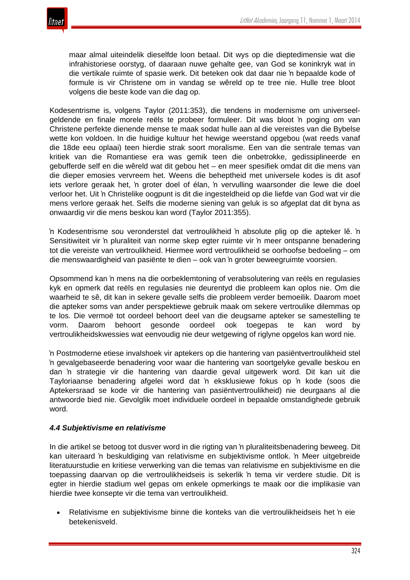

maar almal uiteindelik dieselfde loon betaal. Dit wys op die dieptedimensie wat die infrahistoriese oorstyg, of daaraan nuwe gehalte gee, van God se koninkryk wat in die vertikale ruimte of spasie werk. Dit beteken ook dat daar nie 'n bepaalde kode of formule is vir Christene om in vandag se wêreld op te tree nie. Hulle tree bloot volgens die beste kode van die dag op.

Kodesentrisme is, volgens Taylor (2011:353), die tendens in modernisme om universeelgeldende en finale morele reëls te probeer formuleer. Dit was bloot 'n poging om van Christene perfekte dienende mense te maak sodat hulle aan al die vereistes van die Bybelse wette kon voldoen. In die huidige kultuur het hewige weerstand opgebou (wat reeds vanaf die 18de eeu oplaai) teen hierdie strak soort moralisme. Een van die sentrale temas van kritiek van die Romantiese era was gemik teen die onbetrokke, gedissiplineerde en gebufferde self en die wêreld wat dit gebou het – en meer spesifiek omdat dit die mens van die dieper emosies vervreem het. Weens die beheptheid met universele kodes is dit asof iets verlore geraak het, 'n groter doel of élan, 'n vervulling waarsonder die lewe die doel verloor het. Uit 'n Christelike oogpunt is dit die ingesteldheid op die liefde van God wat vir die mens verlore geraak het. Selfs die moderne siening van geluk is so afgeplat dat dit byna as onwaardig vir die mens beskou kan word (Taylor 2011:355).

'n Kodesentrisme sou veronderstel dat vertroulikheid 'n absolute plig op die apteker lê. 'n Sensitiwiteit vir 'n pluraliteit van norme skep egter ruimte vir 'n meer ontspanne benadering tot die vereiste van vertroulikheid. Hiermee word vertroulikheid se oorhoofse bedoeling – om die menswaardigheid van pasiënte te dien – ook van 'n groter beweegruimte voorsien.

Opsommend kan 'n mens na die oorbeklemtoning of verabsolutering van reëls en regulasies kyk en opmerk dat reëls en regulasies nie deurentyd die probleem kan oplos nie. Om die waarheid te sê, dit kan in sekere gevalle selfs die probleem verder bemoeilik. Daarom moet die apteker soms van ander perspektiewe gebruik maak om sekere vertroulike dilemmas op te los. Die vermoë tot oordeel behoort deel van die deugsame apteker se samestelling te vorm. Daarom behoort gesonde oordeel ook toegepas te kan word by vertroulikheidskwessies wat eenvoudig nie deur wetgewing of riglyne opgelos kan word nie.

'n Postmoderne etiese invalshoek vir aptekers op die hantering van pasiëntvertroulikheid stel 'n gevalgebaseerde benadering voor waar die hantering van soortgelyke gevalle beskou en dan 'n strategie vir die hantering van daardie geval uitgewerk word. Dit kan uit die Tayloriaanse benadering afgelei word dat 'n eksklusiewe fokus op 'n kode (soos die Aptekersraad se kode vir die hantering van pasiëntvertroulikheid) nie deurgaans al die antwoorde bied nie. Gevolglik moet individuele oordeel in bepaalde omstandighede gebruik word.

## *4.4 Subjektivisme en relativisme*

In die artikel se betoog tot dusver word in die rigting van 'n pluraliteitsbenadering beweeg. Dit kan uiteraard 'n beskuldiging van relativisme en subjektivisme ontlok. 'n Meer uitgebreide literatuurstudie en kritiese verwerking van die temas van relativisme en subjektivisme en die toepassing daarvan op die vertroulikheidseis is sekerlik 'n tema vir verdere studie. Dit is egter in hierdie stadium wel gepas om enkele opmerkings te maak oor die implikasie van hierdie twee konsepte vir die tema van vertroulikheid.

• Relativisme en subjektivisme binne die konteks van die vertroulikheidseis het 'n eie betekenisveld.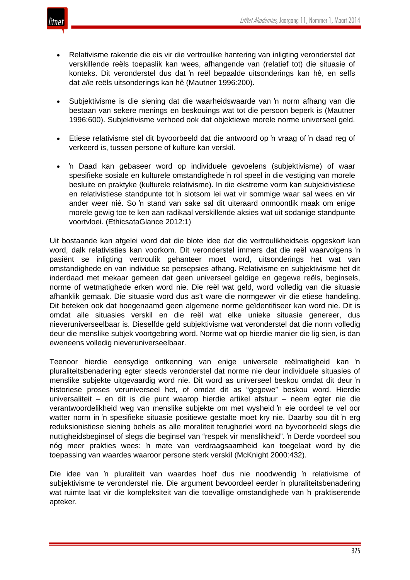

- Relativisme rakende die eis vir die vertroulike hantering van inligting veronderstel dat verskillende reëls toepaslik kan wees, afhangende van (relatief tot) die situasie of konteks. Dit veronderstel dus dat 'n reël bepaalde uitsonderings kan hê, en selfs dat *alle* reëls uitsonderings kan hê (Mautner 1996:200).
- Subjektivisme is die siening dat die waarheidswaarde van 'n norm afhang van die bestaan van sekere menings en beskouings wat tot die persoon beperk is (Mautner 1996:600). Subjektivisme verhoed ook dat objektiewe morele norme universeel geld.
- Etiese relativisme stel dit byvoorbeeld dat die antwoord op 'n vraag of 'n daad reg of verkeerd is, tussen persone of kulture kan verskil.
- 'n Daad kan gebaseer word op individuele gevoelens (subjektivisme) of waar spesifieke sosiale en kulturele omstandighede 'n rol speel in die vestiging van morele besluite en praktyke (kulturele relativisme). In die ekstreme vorm kan subjektivistiese en relativistiese standpunte tot 'n slotsom lei wat vir sommige waar sal wees en vir ander weer nié. So 'n stand van sake sal dit uiteraard onmoontlik maak om enige morele gewig toe te ken aan radikaal verskillende aksies wat uit sodanige standpunte voortvloei. (EthicsataGlance 2012:1)

Uit bostaande kan afgelei word dat die blote idee dat die vertroulikheidseis opgeskort kan word, dalk relativisties kan voorkom. Dit veronderstel immers dat die reël waarvolgens 'n pasiënt se inligting vertroulik gehanteer moet word, uitsonderings het wat van omstandighede en van individue se persepsies afhang. Relativisme en subjektivisme het dit inderdaad met mekaar gemeen dat geen universeel geldige en gegewe reëls, beginsels, norme of wetmatighede erken word nie. Die reël wat geld, word volledig van die situasie afhanklik gemaak. Die situasie word dus as't ware die normgewer vir die etiese handeling. Dit beteken ook dat hoegenaamd geen algemene norme geïdentifiseer kan word nie. Dit is omdat alle situasies verskil en die reël wat elke unieke situasie genereer, dus nieveruniverseelbaar is. Dieselfde geld subjektivisme wat veronderstel dat die norm volledig deur die menslike subjek voortgebring word. Norme wat op hierdie manier die lig sien, is dan eweneens volledig nieveruniverseelbaar.

Teenoor hierdie eensydige ontkenning van enige universele reëlmatigheid kan 'n pluraliteitsbenadering egter steeds veronderstel dat norme nie deur individuele situasies of menslike subjekte uitgevaardig word nie. Dit word as universeel beskou omdat dit deur 'n historiese proses veruniverseel het, of omdat dit as "gegewe" beskou word. Hierdie universaliteit – en dit is die punt waarop hierdie artikel afstuur – neem egter nie die verantwoordelikheid weg van menslike subjekte om met wysheid 'n eie oordeel te vel oor watter norm in 'n spesifieke situasie positiewe gestalte moet kry nie. Daarby sou dit 'n erg reduksionistiese siening behels as alle moraliteit terugherlei word na byvoorbeeld slegs die nuttigheidsbeginsel of slegs die beginsel van "respek vir menslikheid". 'n Derde voordeel sou nóg meer prakties wees: 'n mate van verdraagsaamheid kan toegelaat word by die toepassing van waardes waaroor persone sterk verskil (McKnight 2000:432).

Die idee van 'n pluraliteit van waardes hoef dus nie noodwendig 'n relativisme of subjektivisme te veronderstel nie. Die argument bevoordeel eerder 'n pluraliteitsbenadering wat ruimte laat vir die kompleksiteit van die toevallige omstandighede van 'n praktiserende apteker.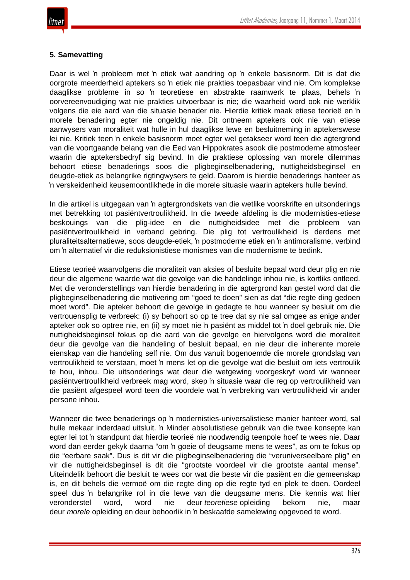## **5. Samevatting**

Daar is wel 'n probleem met 'n etiek wat aandring op 'n enkele basisnorm. Dit is dat die oorgrote meerderheid aptekers so 'n etiek nie prakties toepasbaar vind nie. Om komplekse daaglikse probleme in so 'n teoretiese en abstrakte raamwerk te plaas, behels 'n oorvereenvoudiging wat nie prakties uitvoerbaar is nie; die waarheid word ook nie werklik volgens die eie aard van die situasie benader nie. Hierdie kritiek maak etiese teorieë en 'n morele benadering egter nie ongeldig nie. Dit ontneem aptekers ook nie van etiese aanwysers van moraliteit wat hulle in hul daaglikse lewe en besluitneming in aptekerswese lei nie. Kritiek teen 'n enkele basisnorm moet egter wel getakseer word teen die agtergrond van die voortgaande belang van die Eed van Hippokrates asook die postmoderne atmosfeer waarin die aptekersbedryf sig bevind. In die praktiese oplossing van morele dilemmas behoort etiese benaderings soos die pligbeginselbenadering, nuttigheidsbeginsel en deugde-etiek as belangrike rigtingwysers te geld. Daarom is hierdie benaderings hanteer as 'n verskeidenheid keusemoontlikhede in die morele situasie waarin aptekers hulle bevind.

In die artikel is uitgegaan van 'n agtergrondskets van die wetlike voorskrifte en uitsonderings met betrekking tot pasiëntvertroulikheid. In die tweede afdeling is die modernisties-etiese beskouings van die plig-idee en die nuttigheidsidee met die probleem van pasiëntvertroulikheid in verband gebring. Die plig tot vertroulikheid is derdens met pluraliteitsalternatiewe, soos deugde-etiek, 'n postmoderne etiek en 'n antimoralisme, verbind om 'n alternatief vir die reduksionistiese monismes van die modernisme te bedink.

Etiese teorieë waarvolgens die moraliteit van aksies of besluite bepaal word deur plig en nie deur die algemene waarde wat die gevolge van die handelinge inhou nie, is kortliks ontleed. Met die veronderstellings van hierdie benadering in die agtergrond kan gestel word dat die pligbeginselbenadering die motivering om "goed te doen" sien as dat "die regte ding gedoen moet word". Die apteker behoort die gevolge in gedagte te hou wanneer sy besluit om die vertrouensplig te verbreek: (i) sy behoort so op te tree dat sy nie sal omgee as enige ander apteker ook so optree nie, en (ii) sy moet nie 'n pasiënt as middel tot 'n doel gebruik nie. Die nuttigheidsbeginsel fokus op die aard van die gevolge en hiervolgens word die moraliteit deur die gevolge van die handeling of besluit bepaal, en nie deur die inherente morele eienskap van die handeling self nie. Om dus vanuit bogenoemde die morele grondslag van vertroulikheid te verstaan, moet 'n mens let op die gevolge wat die besluit om iets vertroulik te hou, inhou. Die uitsonderings wat deur die wetgewing voorgeskryf word vir wanneer pasiëntvertroulikheid verbreek mag word, skep 'n situasie waar die reg op vertroulikheid van die pasiënt afgespeel word teen die voordele wat 'n verbreking van vertroulikheid vir ander persone inhou.

Wanneer die twee benaderings op 'n modernisties-universalistiese manier hanteer word, sal hulle mekaar inderdaad uitsluit. 'n Minder absolutistiese gebruik van die twee konsepte kan egter lei tot 'n standpunt dat hierdie teorieë nie noodwendig teenpole hoef te wees nie. Daar word dan eerder gekyk daarna "om 'n goeie of deugsame mens te wees", as om te fokus op die "eerbare saak". Dus is dit vir die pligbeginselbenadering die "veruniverseelbare plig" en vir die nuttigheidsbeginsel is dit die "grootste voordeel vir die grootste aantal mense". Uiteindelik behoort die besluit te wees oor wat die beste vir die pasiënt en die gemeenskap is, en dit behels die vermoë om die regte ding op die regte tyd en plek te doen. Oordeel speel dus 'n belangrike rol in die lewe van die deugsame mens. Die kennis wat hier veronderstel word, word nie deur *teoretiese* opleiding bekom nie, maar deur *morele* opleiding en deur behoorlik in 'n beskaafde samelewing opgevoed te word.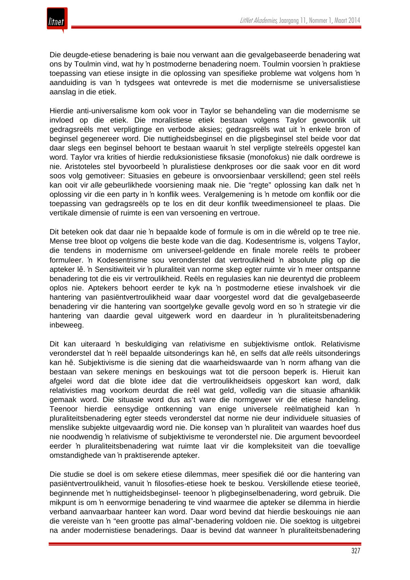Die deugde-etiese benadering is baie nou verwant aan die gevalgebaseerde benadering wat ons by Toulmin vind, wat hy 'n postmoderne benadering noem. Toulmin voorsien 'n praktiese toepassing van etiese insigte in die oplossing van spesifieke probleme wat volgens hom 'n aanduiding is van 'n tydsgees wat ontevrede is met die modernisme se universalistiese aanslag in die etiek.

Hierdie anti-universalisme kom ook voor in Taylor se behandeling van die modernisme se invloed op die etiek. Die moralistiese etiek bestaan volgens Taylor gewoonlik uit gedragsreëls met verpligtinge en verbode aksies; gedragsreëls wat uit 'n enkele bron of beginsel gegenereer word. Die nuttigheidsbeginsel en die pligsbeginsel stel beide voor dat daar slegs een beginsel behoort te bestaan waaruit 'n stel verpligte stelreëls opgestel kan word. Taylor vra krities of hierdie reduksionistiese fiksasie (monofokus) nie dalk oordrewe is nie. Aristoteles stel byvoorbeeld 'n pluralistiese denkproses oor die saak voor en dit word soos volg gemotiveer: Situasies en gebeure is onvoorsienbaar verskillend; geen stel reëls kan ooit vir *alle* gebeurlikhede voorsiening maak nie. Die "regte" oplossing kan dalk net 'n oplossing vir die een party in 'n konflik wees. Veralgemening is 'n metode om konflik oor die toepassing van gedragsreëls op te los en dit deur konflik tweedimensioneel te plaas. Die vertikale dimensie of ruimte is een van versoening en vertroue.

Dit beteken ook dat daar nie 'n bepaalde kode of formule is om in die wêreld op te tree nie. Mense tree bloot op volgens die beste kode van die dag. Kodesentrisme is, volgens Taylor, die tendens in modernisme om universeel-geldende en finale morele reëls te probeer formuleer. 'n Kodesentrisme sou veronderstel dat vertroulikheid 'n absolute plig op die apteker lê. 'n Sensitiwiteit vir 'n pluraliteit van norme skep egter ruimte vir 'n meer ontspanne benadering tot die eis vir vertroulikheid. Reëls en regulasies kan nie deurentyd die probleem oplos nie. Aptekers behoort eerder te kyk na 'n postmoderne etiese invalshoek vir die hantering van pasiëntvertroulikheid waar daar voorgestel word dat die gevalgebaseerde benadering vir die hantering van soortgelyke gevalle gevolg word en so 'n strategie vir die hantering van daardie geval uitgewerk word en daardeur in 'n pluraliteitsbenadering inbeweeg.

Dit kan uiteraard 'n beskuldiging van relativisme en subjektivisme ontlok. Relativisme veronderstel dat 'n reël bepaalde uitsonderings kan hê, en selfs dat *alle* reëls uitsonderings kan hê. Subjektivisme is die siening dat die waarheidswaarde van 'n norm afhang van die bestaan van sekere menings en beskouings wat tot die persoon beperk is. Hieruit kan afgelei word dat die blote idee dat die vertroulikheidseis opgeskort kan word, dalk relativisties mag voorkom deurdat die reël wat geld, volledig van die situasie afhanklik gemaak word. Die situasie word dus as't ware die normgewer vir die etiese handeling. Teenoor hierdie eensydige ontkenning van enige universele reëlmatigheid kan 'n pluraliteitsbenadering egter steeds veronderstel dat norme nie deur individuele situasies of menslike subjekte uitgevaardig word nie. Die konsep van 'n pluraliteit van waardes hoef dus nie noodwendig 'n relativisme of subjektivisme te veronderstel nie. Die argument bevoordeel eerder 'n pluraliteitsbenadering wat ruimte laat vir die kompleksiteit van die toevallige omstandighede van 'n praktiserende apteker.

Die studie se doel is om sekere etiese dilemmas, meer spesifiek dié oor die hantering van pasiëntvertroulikheid, vanuit 'n filosofies-etiese hoek te beskou. Verskillende etiese teorieë, beginnende met 'n nuttigheidsbeginsel- teenoor 'n pligbeginselbenadering, word gebruik. Die mikpunt is om 'n eenvormige benadering te vind waarmee die apteker se dilemma in hierdie verband aanvaarbaar hanteer kan word. Daar word bevind dat hierdie beskouings nie aan die vereiste van 'n "een grootte pas almal"-benadering voldoen nie. Die soektog is uitgebrei na ander modernistiese benaderings. Daar is bevind dat wanneer 'n pluraliteitsbenadering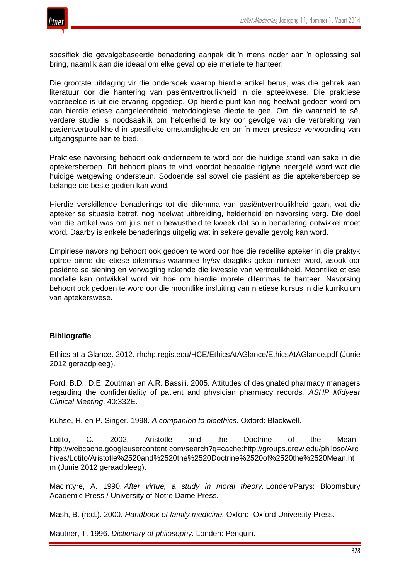

spesifiek die gevalgebaseerde benadering aanpak dit 'n mens nader aan 'n oplossing sal bring, naamlik aan die ideaal om elke geval op eie meriete te hanteer.

Die grootste uitdaging vir die ondersoek waarop hierdie artikel berus, was die gebrek aan literatuur oor die hantering van pasiëntvertroulikheid in die apteekwese. Die praktiese voorbeelde is uit eie ervaring opgediep. Op hierdie punt kan nog heelwat gedoen word om aan hierdie etiese aangeleentheid metodologiese diepte te gee. Om die waarheid te sê, verdere studie is noodsaaklik om helderheid te kry oor gevolge van die verbreking van pasiëntvertroulikheid in spesifieke omstandighede en om 'n meer presiese verwoording van uitgangspunte aan te bied.

Praktiese navorsing behoort ook onderneem te word oor die huidige stand van sake in die aptekersberoep. Dit behoort plaas te vind voordat bepaalde riglyne neergelê word wat die huidige wetgewing ondersteun. Sodoende sal sowel die pasiënt as die aptekersberoep se belange die beste gedien kan word.

Hierdie verskillende benaderings tot die dilemma van pasiëntvertroulikheid gaan, wat die apteker se situasie betref, nog heelwat uitbreiding, helderheid en navorsing verg. Die doel van die artikel was om juis net 'n bewustheid te kweek dat so 'n benadering ontwikkel moet word. Daarby is enkele benaderings uitgelig wat in sekere gevalle gevolg kan word.

Empiriese navorsing behoort ook gedoen te word oor hoe die redelike apteker in die praktyk optree binne die etiese dilemmas waarmee hy/sy daagliks gekonfronteer word, asook oor pasiënte se siening en verwagting rakende die kwessie van vertroulikheid. Moontlike etiese modelle kan ontwikkel word vir hoe om hierdie morele dilemmas te hanteer. Navorsing behoort ook gedoen te word oor die moontlike insluiting van 'n etiese kursus in die kurrikulum van aptekerswese.

#### **Bibliografie**

Ethics at a Glance. 2012. rhchp.regis.edu/HCE/EthicsAtAGlance/EthicsAtAGlance.pdf (Junie 2012 geraadpleeg).

Ford, B.D., D.E. Zoutman en A.R. Bassili. 2005. Attitudes of designated pharmacy managers regarding the confidentiality of patient and physician pharmacy records*. ASHP Midyear Clinical Meeting*, 40:332E.

Kuhse, H. en P. Singer. 1998. *A companion to bioethics.* Oxford: Blackwell.

Lotito, C. 2002. Aristotle and the Doctrine of the Mean. http://webcache.googleusercontent.com/search?q=cache:http://groups.drew.edu/philoso/Arc hives/Lotito/Aristotle%2520and%2520the%2520Doctrine%2520of%2520the%2520Mean.ht m (Junie 2012 geraadpleeg).

MacIntyre, A. 1990. *After virtue, a study in moral theory.* Londen/Parys: Bloomsbury Academic Press / University of Notre Dame Press.

Mash, B. (red.). 2000. *Handbook of family medicine.* Oxford: Oxford University Press.

Mautner, T. 1996. *Dictionary of philosophy.* Londen: Penguin.